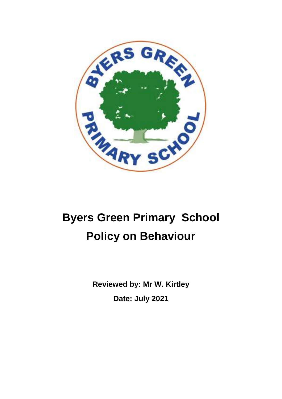

# **Byers Green Primary School Policy on Behaviour**

**Reviewed by: Mr W. Kirtley Date: July 2021**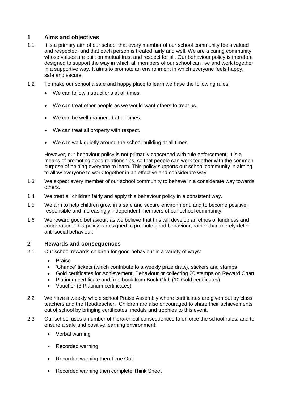# **1 Aims and objectives**

- 1.1 It is a primary aim of our school that every member of our school community feels valued and respected, and that each person is treated fairly and well. We are a caring community, whose values are built on mutual trust and respect for all. Our behaviour policy is therefore designed to support the way in which all members of our school can live and work together in a supportive way. It aims to promote an environment in which everyone feels happy, safe and secure.
- 1.2 To make our school a safe and happy place to learn we have the following rules:
	- We can follow instructions at all times.
	- We can treat other people as we would want others to treat us.
	- We can be well-mannered at all times.
	- We can treat all property with respect.
	- We can walk quietly around the school building at all times.

However, our behaviour policy is not primarily concerned with rule enforcement. It is a means of promoting good relationships, so that people can work together with the common purpose of helping everyone to learn. This policy supports our school community in aiming to allow everyone to work together in an effective and considerate way.

- 1.3 We expect every member of our school community to behave in a considerate way towards others.
- 1.4 We treat all children fairly and apply this behaviour policy in a consistent way.
- 1.5 We aim to help children grow in a safe and secure environment, and to become positive, responsible and increasingly independent members of our school community.
- 1.6 We reward good behaviour, as we believe that this will develop an ethos of kindness and cooperation. This policy is designed to promote good behaviour, rather than merely deter anti-social behaviour.

#### **2 Rewards and consequences**

- 2.1 Our school rewards children for good behaviour in a variety of ways:
	- Praise
	- 'Chance' tickets (which contribute to a weekly prize draw), stickers and stamps
	- Gold certificates for Achievement, Behaviour or collecting 20 stamps on Reward Chart
	- Platinum certificate and free book from Book Club (10 Gold certificates)
	- Voucher (3 Platinum certificates)
- 2.2 We have a weekly whole school Praise Assembly where certificates are given out by class teachers and the Headteacher. Children are also encouraged to share their achievements out of school by bringing certificates, medals and trophies to this event.
- 2.3 Our school uses a number of hierarchical consequences to enforce the school rules, and to ensure a safe and positive learning environment:
	- Verbal warning
	- Recorded warning
	- Recorded warning then Time Out
	- Recorded warning then complete Think Sheet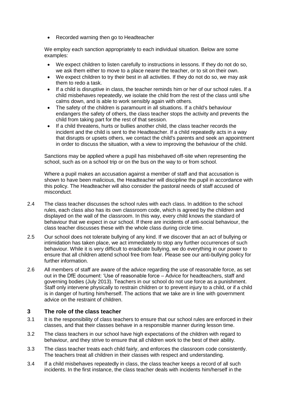• Recorded warning then go to Headteacher

We employ each sanction appropriately to each individual situation. Below are some examples:

- We expect children to listen carefully to instructions in lessons. If they do not do so, we ask them either to move to a place nearer the teacher, or to sit on their own.
- We expect children to try their best in all activities. If they do not do so, we may ask them to redo a task.
- If a child is disruptive in class, the teacher reminds him or her of our school rules. If a child misbehaves repeatedly, we isolate the child from the rest of the class until s/he calms down, and is able to work sensibly again with others.
- The safety of the children is paramount in all situations. If a child's behaviour endangers the safety of others, the class teacher stops the activity and prevents the child from taking part for the rest of that session.
- If a child threatens, hurts or bullies another child, the class teacher records the incident and the child is sent to the Headteacher. If a child repeatedly acts in a way that disrupts or upsets others, we contact the child's parents and seek an appointment in order to discuss the situation, with a view to improving the behaviour of the child.

Sanctions may be applied where a pupil has misbehaved off-site when representing the school, such as on a school trip or on the bus on the way to or from school.

Where a pupil makes an accusation against a member of staff and that accusation is shown to have been malicious, the Headteacher will discipline the pupil in accordance with this policy. The Headteacher will also consider the pastoral needs of staff accused of misconduct.

- 2.4 The class teacher discusses the school rules with each class. In addition to the school rules, each class also has its own classroom code, which is agreed by the children and displayed on the wall of the classroom. In this way, every child knows the standard of behaviour that we expect in our school. If there are incidents of anti-social behaviour, the class teacher discusses these with the whole class during circle time.
- 2.5 Our school does not tolerate bullying of any kind. If we discover that an act of bullying or intimidation has taken place, we act immediately to stop any further occurrences of such behaviour. While it is very difficult to eradicate bullying, we do everything in our power to ensure that all children attend school free from fear. Please see our anti-bullying policy for further information.
- 2.6 All members of staff are aware of the advice regarding the use of reasonable force, as set out in the DfE document: 'Use of reasonable force – Advice for headteachers, staff and governing bodies (July 2013). Teachers in our school do not use force as a punishment. Staff only intervene physically to restrain children or to prevent injury to a child, or if a child is in danger of hurting him/herself. The actions that we take are in line with government advice on the restraint of children.

# **3 The role of the class teacher**

- 3.1 It is the responsibility of class teachers to ensure that our school rules are enforced in their classes, and that their classes behave in a responsible manner during lesson time.
- 3.2 The class teachers in our school have high expectations of the children with regard to behaviour, and they strive to ensure that all children work to the best of their ability.
- 3.3 The class teacher treats each child fairly, and enforces the classroom code consistently. The teachers treat all children in their classes with respect and understanding.
- 3.4 If a child misbehaves repeatedly in class, the class teacher keeps a record of all such incidents. In the first instance, the class teacher deals with incidents him/herself in the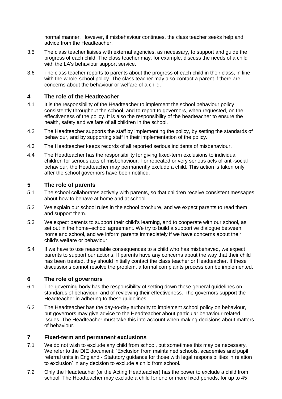normal manner. However, if misbehaviour continues, the class teacher seeks help and advice from the Headteacher.

- 3.5 The class teacher liaises with external agencies, as necessary, to support and guide the progress of each child. The class teacher may, for example, discuss the needs of a child with the LA's behaviour support service.
- 3.6 The class teacher reports to parents about the progress of each child in their class, in line with the whole-school policy. The class teacher may also contact a parent if there are concerns about the behaviour or welfare of a child.

# **4 The role of the Headteacher**

- 4.1 It is the responsibility of the Headteacher to implement the school behaviour policy consistently throughout the school, and to report to governors, when requested, on the effectiveness of the policy. It is also the responsibility of the headteacher to ensure the health, safety and welfare of all children in the school.
- 4.2 The Headteacher supports the staff by implementing the policy, by setting the standards of behaviour, and by supporting staff in their implementation of the policy.
- 4.3 The Headteacher keeps records of all reported serious incidents of misbehaviour.
- 4.4 The Headteacher has the responsibility for giving fixed-term exclusions to individual children for serious acts of misbehaviour. For repeated or very serious acts of anti-social behaviour, the Headteacher may permanently exclude a child. This action is taken only after the school governors have been notified.

# **5 The role of parents**

- 5.1 The school collaborates actively with parents, so that children receive consistent messages about how to behave at home and at school.
- 5.2 We explain our school rules in the school brochure, and we expect parents to read them and support them.
- 5.3 We expect parents to support their child's learning, and to cooperate with our school, as set out in the home–school agreement. We try to build a supportive dialogue between home and school, and we inform parents immediately if we have concerns about their child's welfare or behaviour.
- 5.4 If we have to use reasonable consequences to a child who has misbehaved, we expect parents to support our actions. If parents have any concerns about the way that their child has been treated, they should initially contact the class teacher or Headteacher. If these discussions cannot resolve the problem, a formal complaints process can be implemented.

#### **6 The role of governors**

- 6.1 The governing body has the responsibility of setting down these general guidelines on standards of behaviour, and of reviewing their effectiveness. The governors support the Headteacher in adhering to these guidelines.
- 6.2 The Headteacher has the day-to-day authority to implement school policy on behaviour, but governors may give advice to the Headteacher about particular behaviour-related issues. The Headteacher must take this into account when making decisions about matters of behaviour.

#### **7 Fixed-term and permanent exclusions**

- 7.1 We do not wish to exclude any child from school, but sometimes this may be necessary. We refer to the DfE document: 'Exclusion from maintained schools, academies and pupil referral units in England - Statutory guidance for those with legal responsibilities in relation to exclusion' in any decision to exclude a child from school.
- 7.2 Only the Headteacher (or the Acting Headteacher) has the power to exclude a child from school. The Headteacher may exclude a child for one or more fixed periods, for up to 45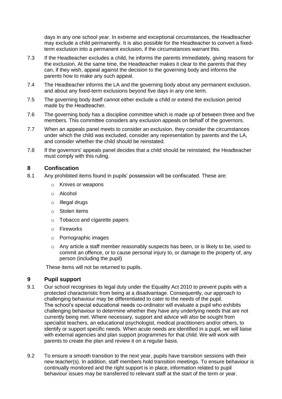days in any one school year. In extreme and exceptional circumstances, the Headteacher may exclude a child permanently. It is also possible for the Headteacher to convert a fixedterm exclusion into a permanent exclusion, if the circumstances warrant this.

- 7.3 If the Headteacher excludes a child, he informs the parents immediately, giving reasons for the exclusion. At the same time, the Headteacher makes it clear to the parents that they can, if they wish, appeal against the decision to the governing body and informs the parents how to make any such appeal.
- 7.4 The Headteacher informs the LA and the governing body about any permanent exclusion, and about any fixed-term exclusions beyond five days in any one term.
- 7.5 The governing body itself cannot either exclude a child or extend the exclusion period made by the Headteacher.
- 7.6 The governing body has a discipline committee which is made up of between three and five members. This committee considers any exclusion appeals on behalf of the governors.
- 7.7 When an appeals panel meets to consider an exclusion, they consider the circumstances under which the child was excluded, consider any representation by parents and the LA, and consider whether the child should be reinstated.
- 7.8 If the governors' appeals panel decides that a child should be reinstated, the Headteacher must comply with this ruling.

#### **8 Confiscation**

- 8.1 Any prohibited items found in pupils' possession will be confiscated. These are:
	- Knives or weapons
	- o Alcohol
	- o Illegal drugs
	- o Stolen items
	- o Tobacco and cigarette papers
	- o Fireworks
	- o Pornographic images
	- o Any article a staff member reasonably suspects has been, or is likely to be, used to commit an offence, or to cause personal injury to, or damage to the property of, any person (including the pupil)

These items will not be returned to pupils.

#### **9 Pupil support**

- 9.1 Our school recognises its legal duty under the Equality Act 2010 to prevent pupils with a protected characteristic from being at a disadvantage. Consequently, our approach to challenging behaviour may be differentiated to cater to the needs of the pupil. The school's special educational needs co-ordinator will evaluate a pupil who exhibits challenging behaviour to determine whether they have any underlying needs that are not currently being met. Where necessary, support and advice will also be sought from specialist teachers, an educational psychologist, medical practitioners and/or others, to identify or support specific needs. When acute needs are identified in a pupil, we will liaise with external agencies and plan support programmes for that child. We will work with parents to create the plan and review it on a regular basis.
- 9.2 To ensure a smooth transition to the next year, pupils have transition sessions with their new teacher(s). In addition, staff members hold transition meetings. To ensure behaviour is continually monitored and the right support is in place, information related to pupil behaviour issues may be transferred to relevant staff at the start of the term or year.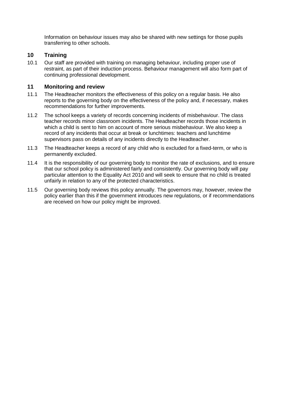Information on behaviour issues may also be shared with new settings for those pupils transferring to other schools.

# **10 Training**

10.1 Our staff are provided with training on managing behaviour, including proper use of restraint, as part of their induction process. Behaviour management will also form part of continuing professional development.

# **11 Monitoring and review**

- 11.1 The Headteacher monitors the effectiveness of this policy on a regular basis. He also reports to the governing body on the effectiveness of the policy and, if necessary, makes recommendations for further improvements.
- 11.2 The school keeps a variety of records concerning incidents of misbehaviour. The class teacher records minor classroom incidents. The Headteacher records those incidents in which a child is sent to him on account of more serious misbehaviour. We also keep a record of any incidents that occur at break or lunchtimes: teachers and lunchtime supervisors pass on details of any incidents directly to the Headteacher.
- 11.3 The Headteacher keeps a record of any child who is excluded for a fixed-term, or who is permanently excluded.
- 11.4 It is the responsibility of our governing body to monitor the rate of exclusions, and to ensure that our school policy is administered fairly and consistently. Our governing body will pay particular attention to the Equality Act 2010 and will seek to ensure that no child is treated unfairly in relation to any of the protected characteristics.
- 11.5 Our governing body reviews this policy annually. The governors may, however, review the policy earlier than this if the government introduces new regulations, or if recommendations are received on how our policy might be improved.